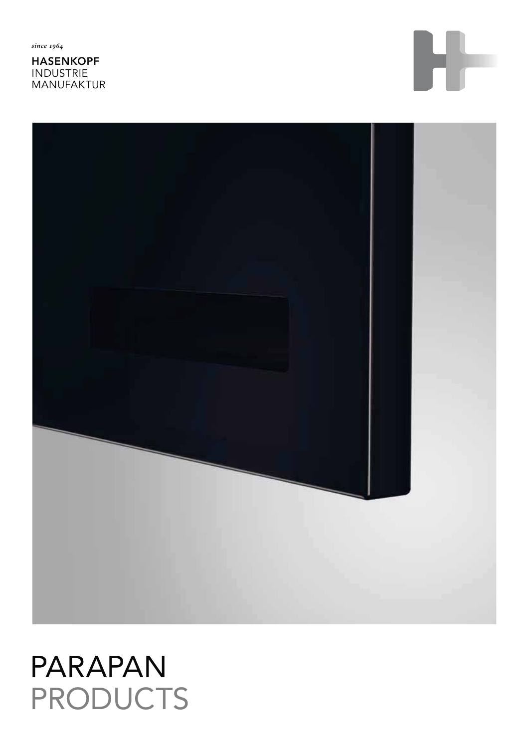*since 1964*

HASENKOPF INDUSTRIE MANUFAKTUR





## PARAPAN PRODUCTS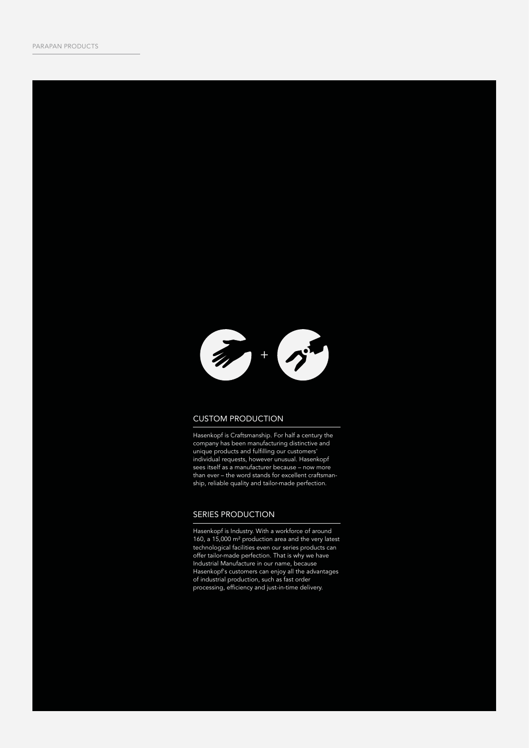

#### CUSTOM PRODUCTION

Hasenkopf is Craftsmanship. For half a century the company has been manufacturing distinctive and unique products and fulfilling our customers' individual requests, however unusual. Hasenkopf sees itself as a manufacturer because - now more than ever – the word stands for excellent craftsmanship, reliable quality and tailor-made perfection.

#### SERIES PRODUCTION

Hasenkopf is Industry. With a workforce of around 160, a 15,000 m² production area and the very latest technological facilities even our series products can offer tailor-made perfection. That is why we have Industrial Manufacture in our name, because Hasenkopf's customers can enjoy all the advantages of industrial production, such as fast order processing, efficiency and just-in-time delivery.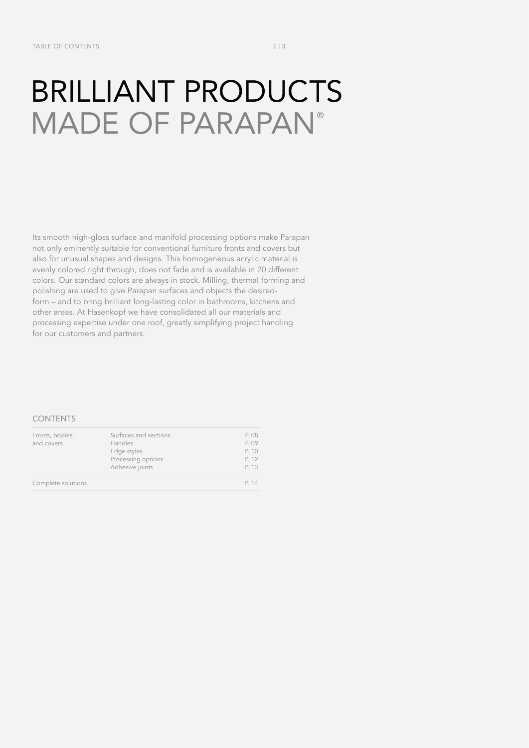Its smooth high-gloss surface and manifold processing options make Parapan not only eminently suitable for conventional furniture fronts and covers but also for unusual shapes and designs. This homogeneous acrylic material is evenly colored right through, does not fade and is available in 20 different colors. Our standard colors are always in stock. Milling, thermal forming and polishing are used to give Parapan surfaces and objects the desiredform – and to bring brilliant long-lasting color in bathrooms, kitchens and other areas. At Hasenkopf we have consolidated all our materials and processing expertise under one roof, greatly simplifying project handling for our customers and partners.

#### **CONTENTS**

| Fronts, bodies,    | Surfaces and sections | P. 08 |
|--------------------|-----------------------|-------|
| and covers         | Handles               | P. 09 |
|                    | Edge styles           | P. 10 |
|                    | Processing options    | P. 12 |
|                    | Adhesive joints       | P. 13 |
| Complete solutions |                       | P 14  |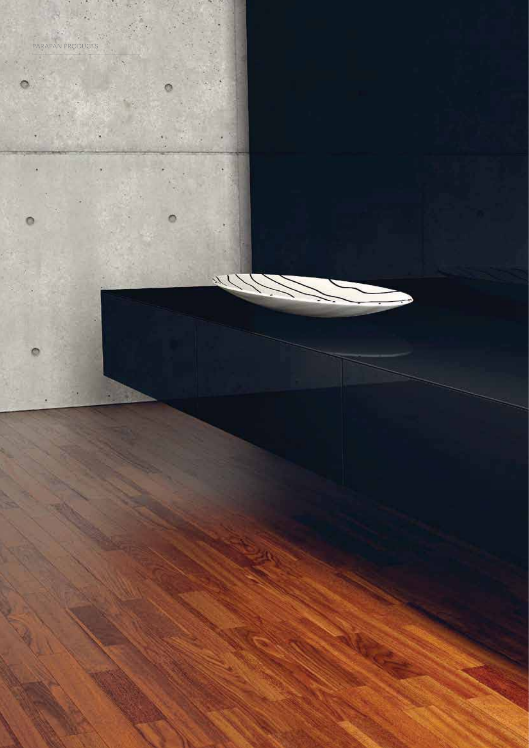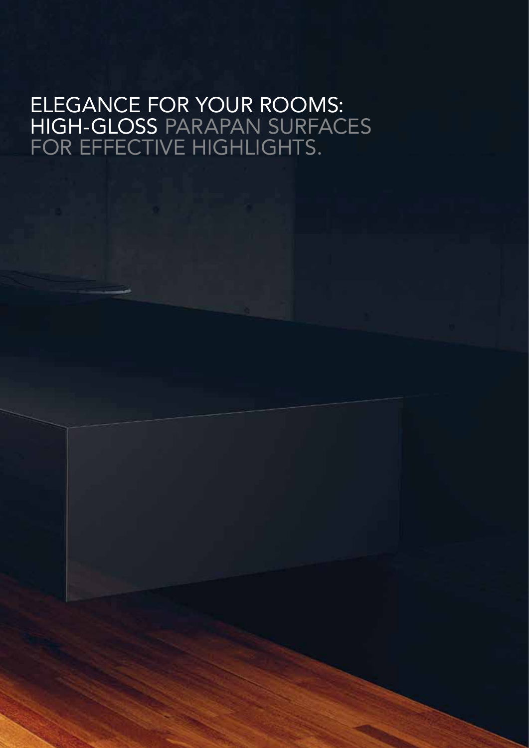### ELEGANCE FOR YOUR ROOMS: HIGH-GLOSS PARAPAN SURFACES FOR EFFECTIVE HIGHLIGHTS.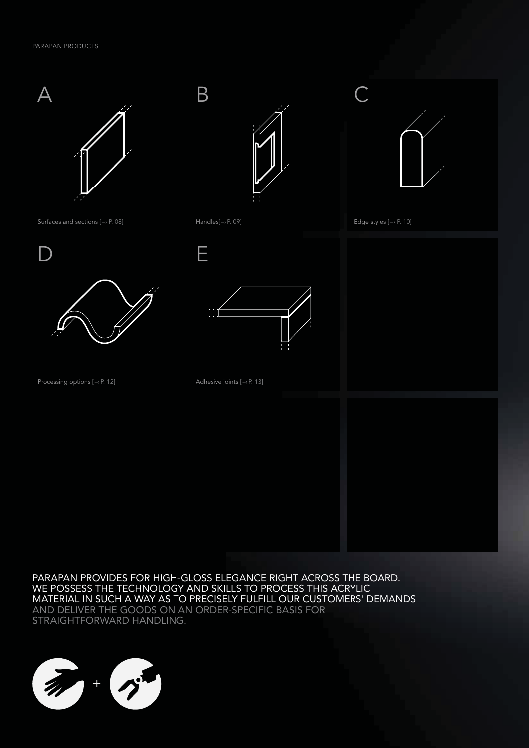

Surfaces and sections  $[-8, 08]$ 



Processing options [->P. 12]



Handles[->P. 09]

E

B



Edge styles [ –› P. 10]

C



Adhesive joints [ –› P. 13]

PARAPAN PROVIDES FOR HIGH-GLOSS ELEGANCE RIGHT ACROSS THE BOARD. WE POSSESS THE TECHNOLOGY AND SKILLS TO PROCESS THIS ACRYLIC MATERIAL IN SUCH A WAY AS TO PRECISELY FULFILL OUR CUSTOMERS' DEMANDS AND DELIVER THE GOODS ON AN ORDER-SPECIFIC BASIS FOR STRAIGHTFORWARD HANDLING.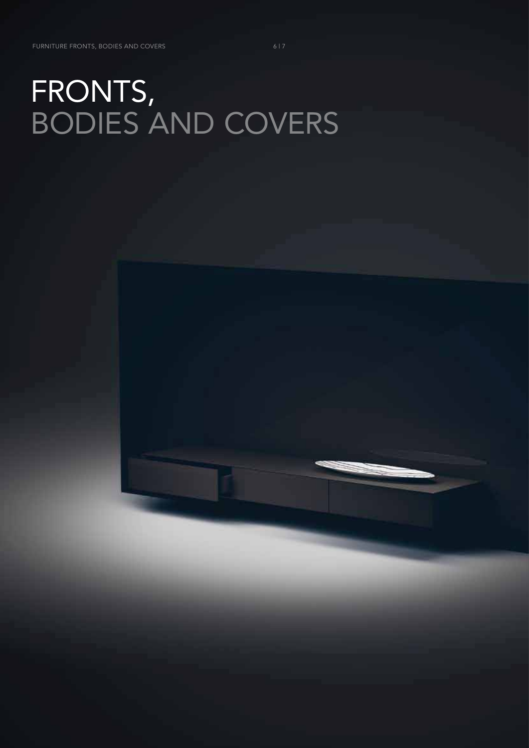# FRONTS, BODIES AND COVERS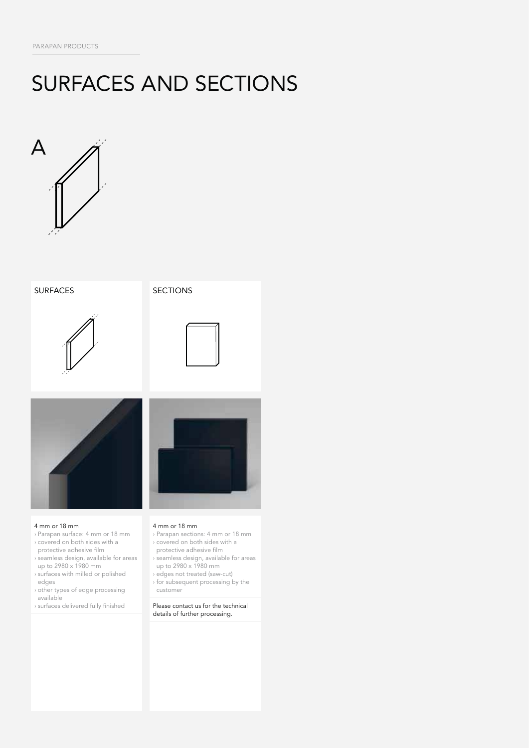### SURFACES AND SECTIONS







#### 4 mm or 18 mm

- › Parapan surface: 4 mm or 18 mm
- › covered on both sides with a protective adhesive film
- › seamless design, available for areas up to 2980 x 1980 mm
- › surfaces with milled or polished edges
- › other types of edge processing available
- › surfaces delivered fully finished

#### 4 mm or 18 mm

- › Parapan sections: 4 mm or 18 mm › covered on both sides with a
- protective adhesive film
- › seamless design, available for areas
- up to 2980 x 1980 mm
- › edges not treated (saw-cut) › for subsequent processing by the
- customer

Please contact us for the technical details of further processing.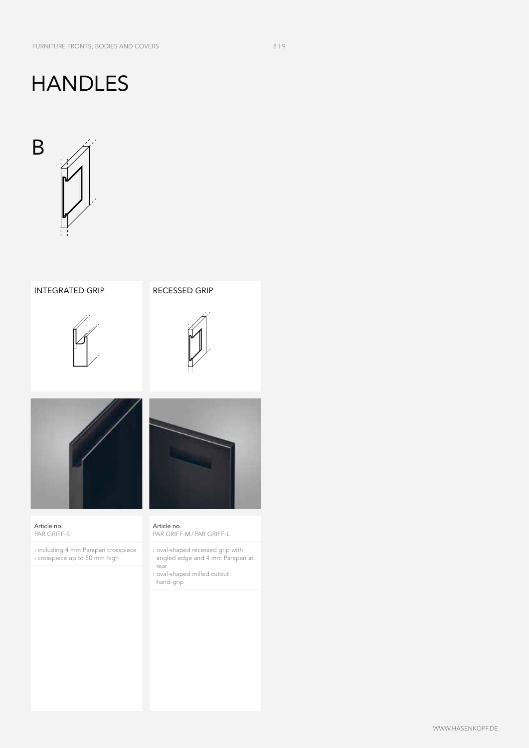### **HANDLES**

B

#### INTEGRATED GRIP RECESSED GRIP







#### Article no. PAR GRIFF-S

› including 4 mm Parapan crosspiece › crosspiece up to 50 mm high



#### Article no.

PAR GRIFF-M / PAR GRIFF-L

- › oval-shaped recessed grip with angled edge and 4 mm Parapan at rear
- › oval-shaped milled cutout hand-grip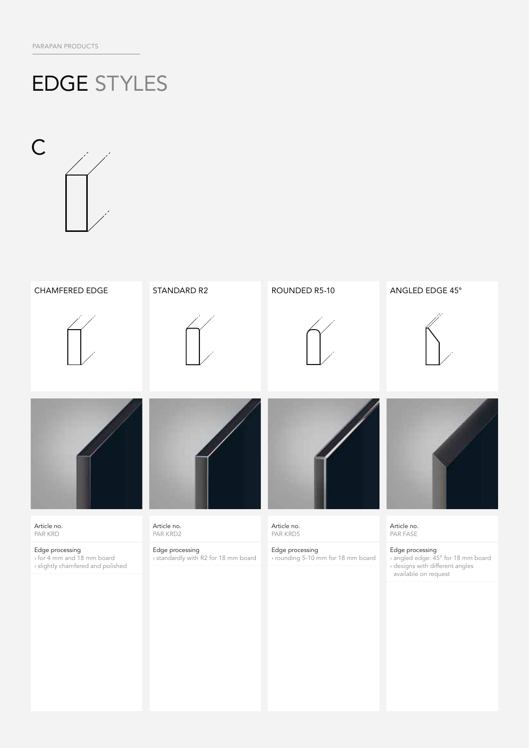## EDGE STYLES



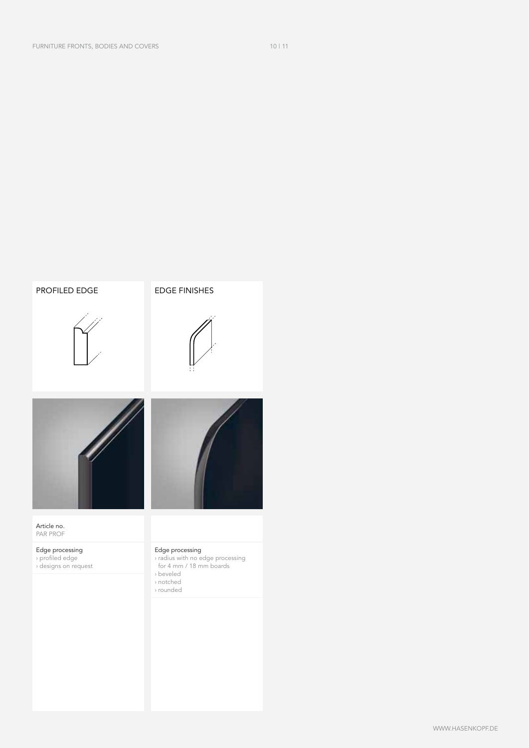### PROFILED EDGE **EDGE FINISHES**





10 | 11



Article no. PAR PROF

Edge processing › profiled edge › designs on request Edge processing

- › radius with no edge processing
- for 4 mm / 18 mm boards
- › beveled › notched
- 
- › rounded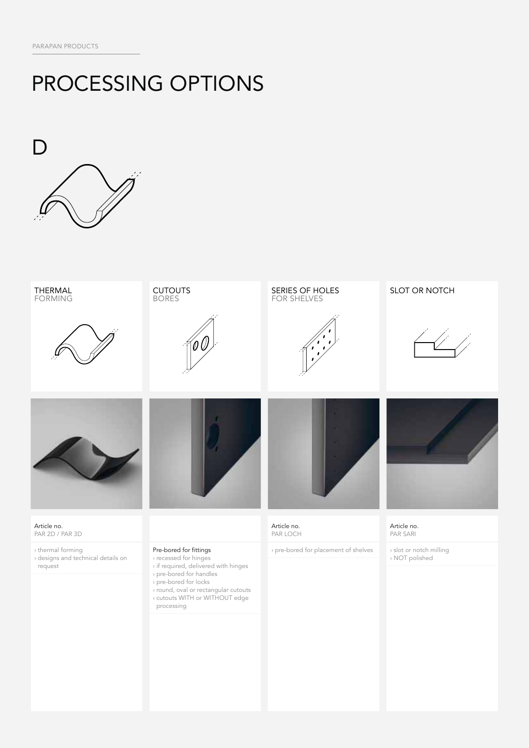### PROCESSING OPTIONS



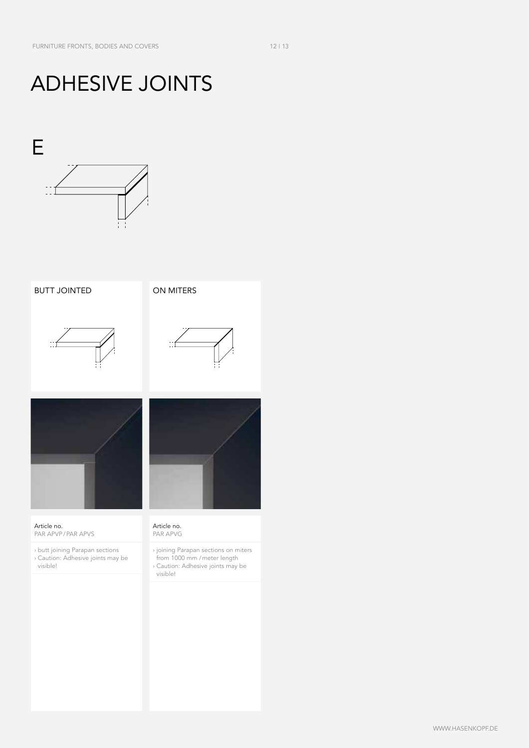### ADHESIVE JOINTS



#### BUTT JOINTED ON MITERS







#### Article no. PAR APVP /PAR APVS

› butt joining Parapan sections › Caution: Adhesive joints may be visible!



#### Article no. PAR APVG

› joining Parapan sections on miters from 1000 mm / meter length › Caution: Adhesive joints may be visible!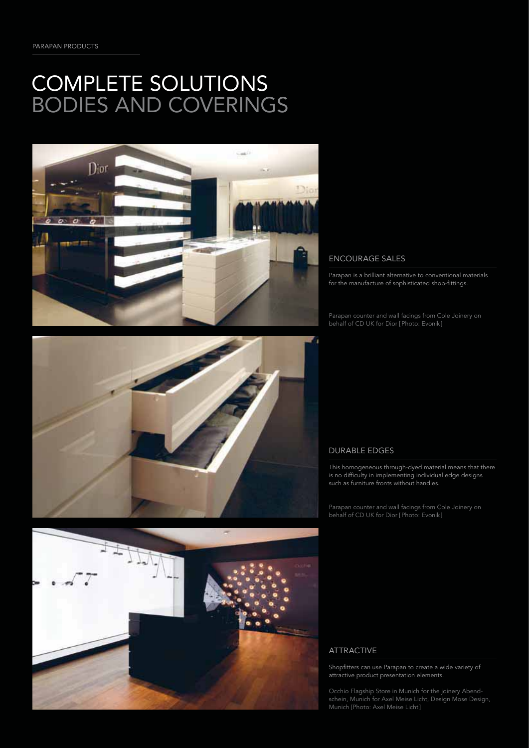### COMPLETE SOLUTIONS BODIES AND COVERINGS



#### ENCOURAGE SALES

Parapan is a brilliant alternative to conventional materials for the manufacture of sophisticated shop-fittings.

Parapan counter and wall facings from Cole Joinery on behalf of CD UK for Dior [ Photo: Evonik ]





#### DURABLE EDGES

This homogeneous through-dyed material means that there is no difficulty in implementing individual edge designs such as furniture fronts without handles.

Parapan counter and wall facings from Cole Joinery on behalf of CD UK for Dior [ Photo: Evonik ]

#### ATTRACTIVE

Shopfitters can use Parapan to create a wide variety of attractive product presentation elements.

schein, Munich for Axel Meise Licht, Design Mose Design, Munich [Photo: Axel Meise Licht ]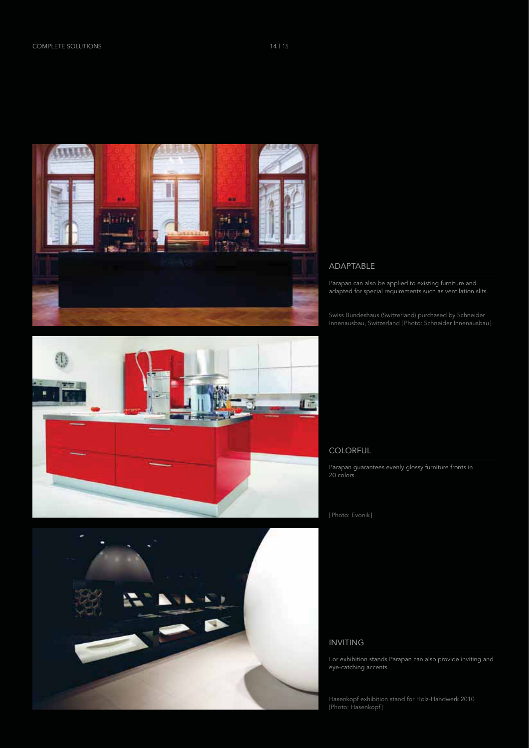





#### ADAPTABLE

Parapan can also be applied to existing furniture and adapted for special requirements such as ventilation slits.

Swiss Bundeshaus (Switzerland) purchased by Schneider Innenausbau, Switzerland [ Photo: Schneider Innenausbau ]

#### COLORFUL

Parapan guarantees evenly glossy furniture fronts in 20 colors.

[ Photo: Evonik ]

#### INVITING

For exhibition stands Parapan can also provide inviting and eye-catching accents.

Hasenkopf exhibition stand for Holz-Handwerk 2010 [Photo: Hasenkopf ]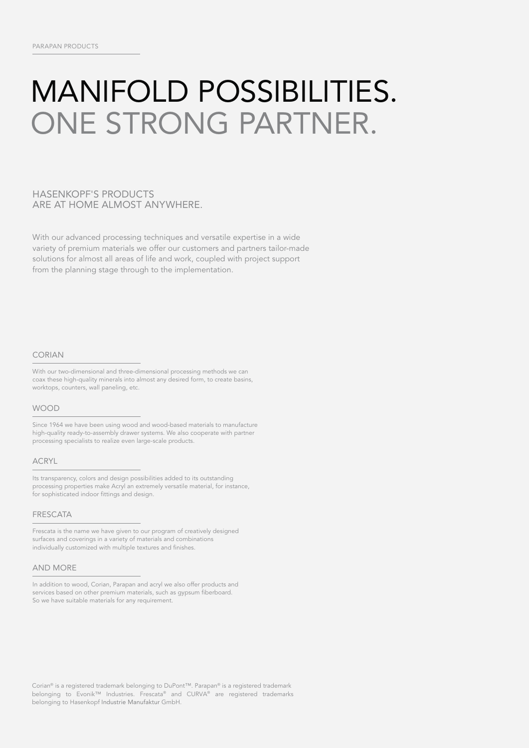## MANIFOLD POSSIBILITIES. ONE STRONG PARTNER.

HASENKOPF'S PRODUCTS ARE AT HOME ALMOST ANYWHERE.

With our advanced processing techniques and versatile expertise in a wide variety of premium materials we offer our customers and partners tailor-made solutions for almost all areas of life and work, coupled with project support from the planning stage through to the implementation.

#### CORIAN

With our two-dimensional and three-dimensional processing methods we can coax these high-quality minerals into almost any desired form, to create basins, worktops, counters, wall paneling, etc.

#### WOOD

Since 1964 we have been using wood and wood-based materials to manufacture high-quality ready-to-assembly drawer systems. We also cooperate with partner processing specialists to realize even large-scale products.

#### ACRYL

Its transparency, colors and design possibilities added to its outstanding processing properties make Acryl an extremely versatile material, for instance, for sophisticated indoor fittings and design.

#### FRESCATA

Frescata is the name we have given to our program of creatively designed surfaces and coverings in a variety of materials and combinations individually customized with multiple textures and finishes.

#### AND MORE

In addition to wood, Corian, Parapan and acryl we also offer products and services based on other premium materials, such as gypsum fiberboard. So we have suitable materials for any requirement.

Corian® is a registered trademark belonging to DuPont™. Parapan® is a registered trademark belonging to Evonik™ Industries. Frescata® and CURVA® are registered trademarks belonging to Hasenkopf Industrie Manufaktur GmbH.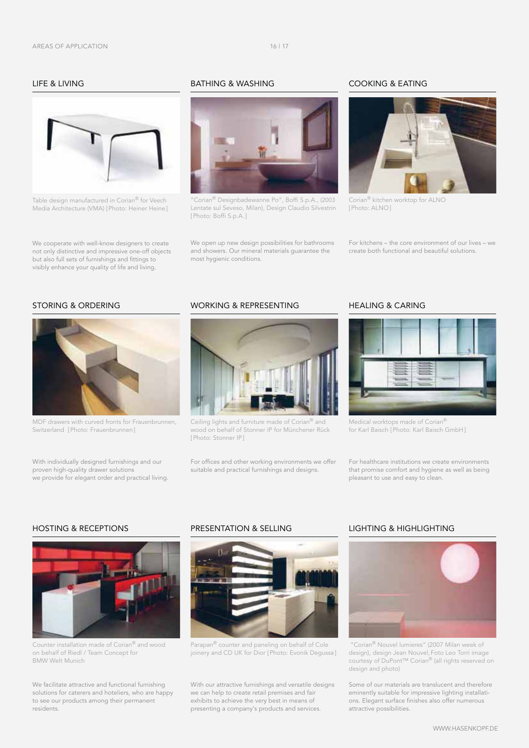#### LIFE & LIVING



Table design manufactured in Corian® for Veech Media Architecture (VMA) [ Photo: Heiner Heine ]

We cooperate with well-know designers to create not only distinctive and impressive one-off objects but also full sets of furnishings and fittings to visibly enhance your quality of life and living.

#### BATHING & WASHING



"Corian® Designbadewanne Po", Boffi S.p.A., (2003 Lentate sul Seveso, Milan), Design Claudio Silvestrin [ Photo: Boffi S.p.A. ]

We open up new design possibilities for bathrooms and showers. Our mineral materials guarantee the most hygienic conditions.

#### COOKING & EATING



Corian® kitchen worktop for ALNO [ Photo: ALNO ]

For kitchens – the core environment of our lives – we create both functional and beautiful solutions.

#### STORING & ORDERING



MDF drawers with curved fronts for Frauenbrunnen, Switzerland [ Photo: Frauenbrunnen ]

With individually designed furnishings and our proven high-quality drawer solutions we provide for elegant order and practical living.

#### WORKING & REPRESENTING



Ceiling lights and furniture made of Corian® and wood on behalf of Stonner IP for Münchener Rück [ Photo: Stonner IP ]

For offices and other working environments we offer suitable and practical furnishings and designs.

#### HEALING & CARING



Medical worktops made of Corian<sup>®</sup> for Karl Baisch [ Photo: Karl Baisch GmbH ]

For healthcare institutions we create environments that promise comfort and hygiene as well as being pleasant to use and easy to clean.

#### HOSTING & RECEPTIONS



Counter installation made of Corian® and wood on behalf of Riedl / Team Concept for BMW Welt Munich

We facilitate attractive and functional furnishing solutions for caterers and hoteliers, who are happy to see our products among their permanent residents.

#### PRESENTATION & SELLING



Parapan® counter and paneling on behalf of Cole joinery and CD UK for Dior [ Photo: Evonik Degussa ]

With our attractive furnishings and versatile designs we can help to create retail premises and fair exhibits to achieve the very best in means of presenting a company's products and services.

#### LIGHTING & HIGHLIGHTING



 "Corian® Nouvel lumieres" (2007 Milan week of design), design Jean Nouvel, Foto Leo Torri image courtesy of DuPont™ Corian® (all rights reserved on design and photo)

Some of our materials are translucent and therefore eminently suitable for impressive lighting installations. Elegant surface finishes also offer numerous attractive possibilities.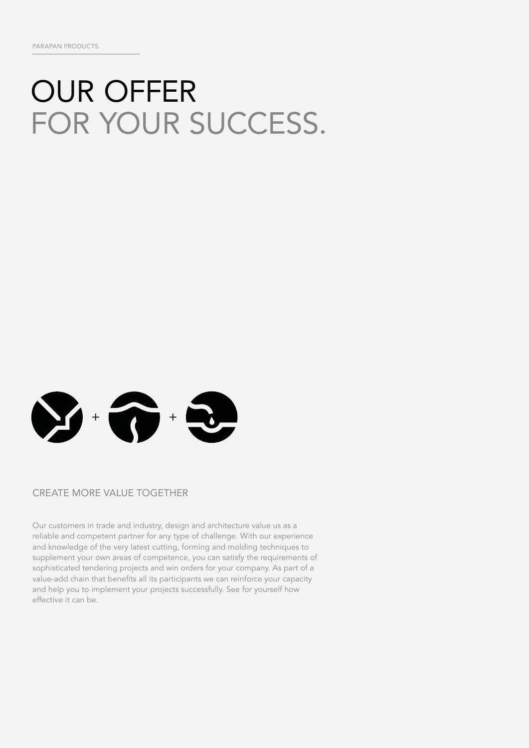# OUR OFFER FOR YOUR SUCCESS.



#### CREATE MORE VALUE TOGETHER

Our customers in trade and industry, design and architecture value us as a reliable and competent partner for any type of challenge. With our experience and knowledge of the very latest cutting, forming and molding techniques to supplement your own areas of competence, you can satisfy the requirements of sophisticated tendering projects and win orders for your company. As part of a value-add chain that benefits all its participants we can reinforce your capacity and help you to implement your projects successfully. See for yourself how effective it can be.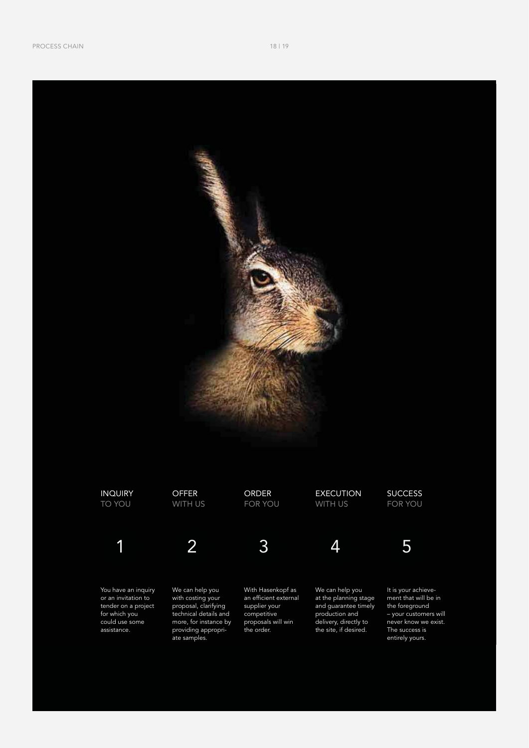

You have an inquiry or an invitation to tender on a project for which you could use some assistance.

We can help you with costing your proposal, clarifying technical details and more, for instance by providing appropriate samples.

1 2 3 4 5

With Hasenkopf as an efficient external supplier your competitive proposals will win the order.

We can help you at the planning stage and guarantee timely production and delivery, directly to the site, if desired.

It is your achievement that will be in the foreground – your customers will never know we exist. The success is entirely yours.